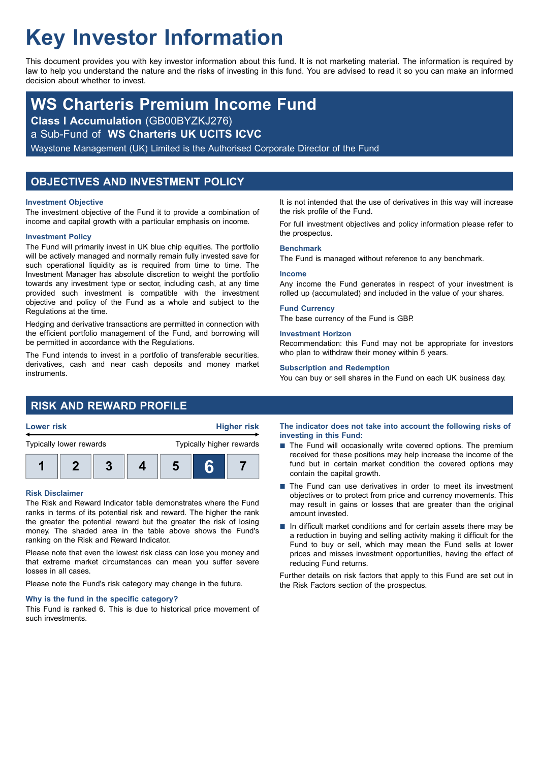# **Key Investor Information**

This document provides you with key investor information about this fund. It is not marketing material. The information is required by law to help you understand the nature and the risks of investing in this fund. You are advised to read it so you can make an informed decision about whether to invest.

## **WS Charteris Premium Income Fund**

**Class I Accumulation** (GB00BYZKJ276)

a Sub-Fund of **WS Charteris UK UCITS ICVC**

Waystone Management (UK) Limited is the Authorised Corporate Director of the Fund

### **OBJECTIVES AND INVESTMENT POLICY**

### **Investment Objective**

The investment objective of the Fund it to provide a combination of income and capital growth with a particular emphasis on income.

### **Investment Policy**

The Fund will primarily invest in UK blue chip equities. The portfolio will be actively managed and normally remain fully invested save for such operational liquidity as is required from time to time. The Investment Manager has absolute discretion to weight the portfolio towards any investment type or sector, including cash, at any time provided such investment is compatible with the investment objective and policy of the Fund as a whole and subject to the Regulations at the time.

Hedging and derivative transactions are permitted in connection with the efficient portfolio management of the Fund, and borrowing will be permitted in accordance with the Regulations.

The Fund intends to invest in a portfolio of transferable securities. derivatives, cash and near cash deposits and money market instruments.

It is not intended that the use of derivatives in this way will increase the risk profile of the Fund.

For full investment objectives and policy information please refer to the prospectus.

### **Benchmark**

The Fund is managed without reference to any benchmark.

### **Income**

Any income the Fund generates in respect of your investment is rolled up (accumulated) and included in the value of your shares.

### **Fund Currency**

The base currency of the Fund is GBP.

### **Investment Horizon**

Recommendation: this Fund may not be appropriate for investors who plan to withdraw their money within 5 years.

### **Subscription and Redemption**

You can buy or sell shares in the Fund on each UK business day.

### **RISK AND REWARD PROFILE**



### **Risk Disclaimer**

The Risk and Reward Indicator table demonstrates where the Fund ranks in terms of its potential risk and reward. The higher the rank the greater the potential reward but the greater the risk of losing money. The shaded area in the table above shows the Fund's ranking on the Risk and Reward Indicator.

Please note that even the lowest risk class can lose you money and that extreme market circumstances can mean you suffer severe losses in all cases.

Please note the Fund's risk category may change in the future.

### **Why is the fund in the specific category?**

This Fund is ranked 6. This is due to historical price movement of such investments.

**The indicator does not take into account the following risks of investing in this Fund:**

- $\blacksquare$  The Fund will occasionally write covered options. The premium received for these positions may help increase the income of the fund but in certain market condition the covered options may contain the capital growth.
- The Fund can use derivatives in order to meet its investment objectives or to protect from price and currency movements. This may result in gains or losses that are greater than the original amount invested.
- $\blacksquare$  In difficult market conditions and for certain assets there may be a reduction in buying and selling activity making it difficult for the Fund to buy or sell, which may mean the Fund sells at lower prices and misses investment opportunities, having the effect of reducing Fund returns.

Further details on risk factors that apply to this Fund are set out in the Risk Factors section of the prospectus.